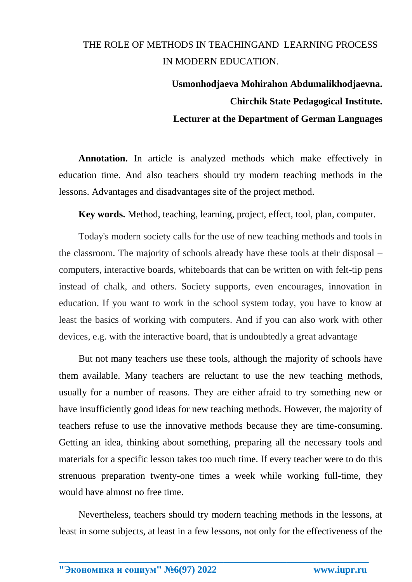## THE ROLE OF METHODS IN TEACHINGAND LEARNING PROCESS IN MODERN EDUCATION.

## **Usmonhodjaeva Mohirahon Abdumalikhodjaevna. Chirchik State Pedagogical Institute. Lecturer at the Department of German Languages**

**Annotation.** In article is analyzed methods which make effectively in education time. And also teachers should try modern teaching methods in the lessons. Advantages and disadvantages site of the project method.

**Key words.** Method, teaching, learning, project, effect, tool, plan, computer.

Today's modern society calls for the use of new teaching methods and tools in the classroom. The majority of schools already have these tools at their disposal – computers, interactive boards, whiteboards that can be written on with felt-tip pens instead of chalk, and others. Society supports, even encourages, innovation in education. If you want to work in the school system today, you have to know at least the basics of working with computers. And if you can also work with other devices, e.g. with the interactive board, that is undoubtedly a great advantage

But not many teachers use these tools, although the majority of schools have them available. Many teachers are reluctant to use the new teaching methods, usually for a number of reasons. They are either afraid to try something new or have insufficiently good ideas for new teaching methods. However, the majority of teachers refuse to use the innovative methods because they are time-consuming. Getting an idea, thinking about something, preparing all the necessary tools and materials for a specific lesson takes too much time. If every teacher were to do this strenuous preparation twenty-one times a week while working full-time, they would have almost no free time.

Nevertheless, teachers should try modern teaching methods in the lessons, at least in some subjects, at least in a few lessons, not only for the effectiveness of the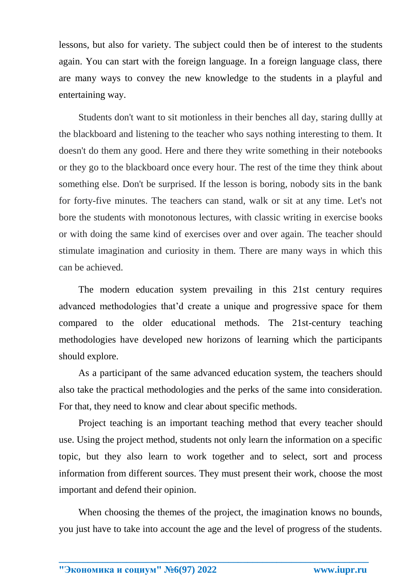lessons, but also for variety. The subject could then be of interest to the students again. You can start with the foreign language. In a foreign language class, there are many ways to convey the new knowledge to the students in a playful and entertaining way.

Students don't want to sit motionless in their benches all day, staring dullly at the blackboard and listening to the teacher who says nothing interesting to them. It doesn't do them any good. Here and there they write something in their notebooks or they go to the blackboard once every hour. The rest of the time they think about something else. Don't be surprised. If the lesson is boring, nobody sits in the bank for forty-five minutes. The teachers can stand, walk or sit at any time. Let's not bore the students with monotonous lectures, with classic writing in exercise books or with doing the same kind of exercises over and over again. The teacher should stimulate imagination and curiosity in them. There are many ways in which this can be achieved.

The modern education system prevailing in this 21st century requires advanced methodologies that'd create a unique and progressive space for them compared to the older educational methods. The 21st-century teaching methodologies have developed new horizons of learning which the participants should explore.

As a participant of the same advanced education system, the teachers should also take the practical methodologies and the perks of the same into consideration. For that, they need to know and clear about specific methods.

Project teaching is an important teaching method that every teacher should use. Using the project method, students not only learn the information on a specific topic, but they also learn to work together and to select, sort and process information from different sources. They must present their work, choose the most important and defend their opinion.

When choosing the themes of the project, the imagination knows no bounds, you just have to take into account the age and the level of progress of the students.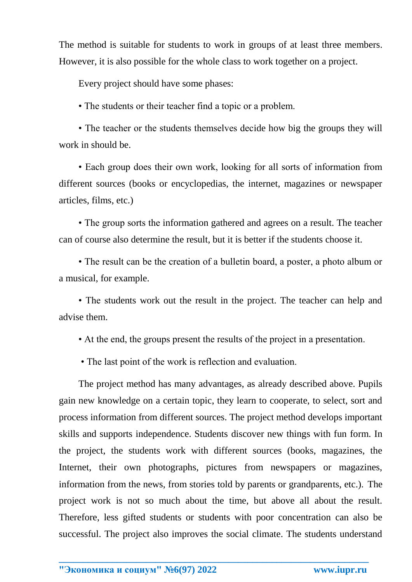The method is suitable for students to work in groups of at least three members. However, it is also possible for the whole class to work together on a project.

Every project should have some phases:

• The students or their teacher find a topic or a problem.

• The teacher or the students themselves decide how big the groups they will work in should be.

• Each group does their own work, looking for all sorts of information from different sources (books or encyclopedias, the internet, magazines or newspaper articles, films, etc.)

• The group sorts the information gathered and agrees on a result. The teacher can of course also determine the result, but it is better if the students choose it.

• The result can be the creation of a bulletin board, a poster, a photo album or a musical, for example.

• The students work out the result in the project. The teacher can help and advise them.

• At the end, the groups present the results of the project in a presentation.

• The last point of the work is reflection and evaluation.

The project method has many advantages, as already described above. Pupils gain new knowledge on a certain topic, they learn to cooperate, to select, sort and process information from different sources. The project method develops important skills and supports independence. Students discover new things with fun form. In the project, the students work with different sources (books, magazines, the Internet, their own photographs, pictures from newspapers or magazines, information from the news, from stories told by parents or grandparents, etc.). The project work is not so much about the time, but above all about the result. Therefore, less gifted students or students with poor concentration can also be successful. The project also improves the social climate. The students understand